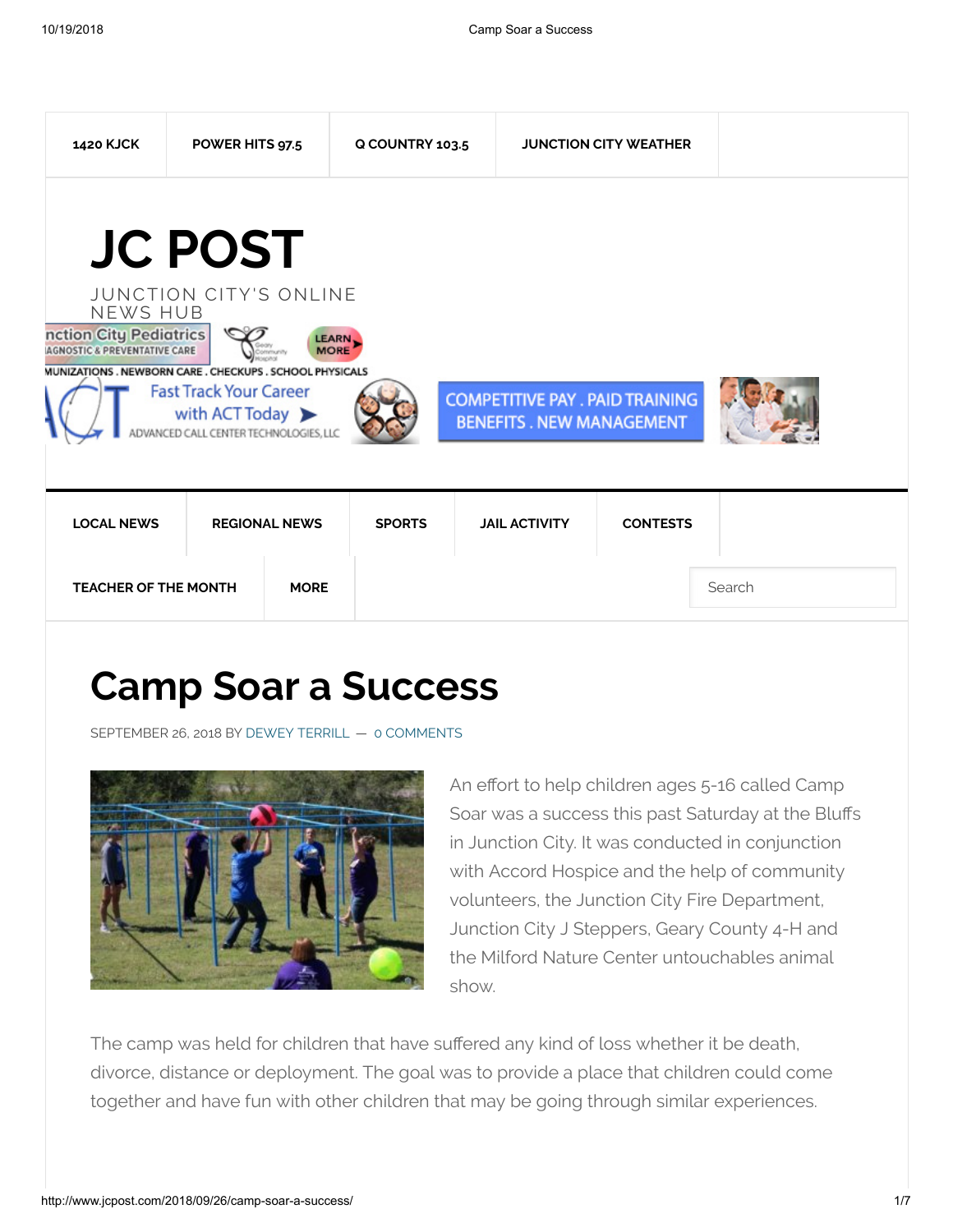

# **Camp Soar a Success**

SEPTEMBER 26, 2018 BY DEWEY [TERRILL](http://www.jcpost.com/author/dewey-terrill/) — 0 COMMENTS



An effort to help children ages 5-16 called Camp Soar was a success this past Saturday at the Bluffs in Junction City. It was conducted in conjunction with Accord Hospice and the help of community volunteers, the Junction City Fire Department, Junction City J Steppers, Geary County 4-H and the Milford Nature Center untouchables animal show.

The camp was held for children that have suffered any kind of loss whether it be death, divorce, distance or deployment. The goal was to provide a place that children could come together and have fun with other children that may be going through similar experiences.